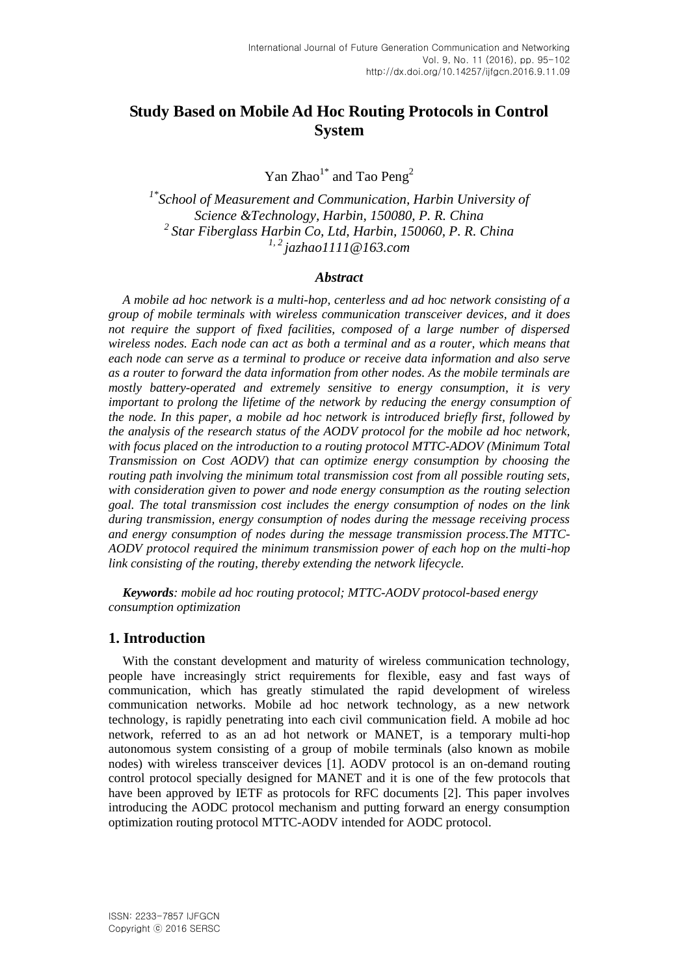# **Study Based on Mobile Ad Hoc Routing Protocols in Control System**

Yan Zhao<sup>1\*</sup> and Tao Peng<sup>2</sup>

*1\* School of Measurement and Communication, Harbin University of Science &Technology, Harbin, 150080, P. R. China <sup>2</sup>Star Fiberglass Harbin Co, Ltd, Harbin, 150060, P. R. China 1, 2 [jazhao1111@163.com](mailto:jazhao1111@163.com)*

#### *Abstract*

*A mobile ad hoc network is a multi-hop, centerless and ad hoc network consisting of a group of mobile terminals with wireless communication transceiver devices, and it does not require the support of fixed facilities, composed of a large number of dispersed wireless nodes. Each node can act as both a terminal and as a router, which means that each node can serve as a terminal to produce or receive data information and also serve as a router to forward the data information from other nodes. As the mobile terminals are mostly battery-operated and extremely sensitive to energy consumption, it is very important to prolong the lifetime of the network by reducing the energy consumption of the node. In this paper, a mobile ad hoc network is introduced briefly first, followed by the analysis of the research status of the AODV protocol for the mobile ad hoc network, with focus placed on the introduction to a routing protocol MTTC-ADOV (Minimum Total Transmission on Cost AODV) that can optimize energy consumption by choosing the routing path involving the minimum total transmission cost from all possible routing sets, with consideration given to power and node energy consumption as the routing selection goal. The total transmission cost includes the energy consumption of nodes on the link during transmission, energy consumption of nodes during the message receiving process and energy consumption of nodes during the message transmission process.The MTTC-AODV protocol required the minimum transmission power of each hop on the multi-hop link consisting of the routing, thereby extending the network lifecycle.* 

*Keywords: mobile ad hoc routing protocol; MTTC-AODV protocol-based energy consumption optimization*

### **1. Introduction**

With the constant development and maturity of wireless communication technology, people have increasingly strict requirements for flexible, easy and fast ways of communication, which has greatly stimulated the rapid development of wireless communication networks. Mobile ad hoc network technology, as a new network technology, is rapidly penetrating into each civil communication field. A mobile ad hoc network, referred to as an ad hot network or MANET, is a temporary multi-hop autonomous system consisting of a group of mobile terminals (also known as mobile nodes) with wireless transceiver devices [1]. AODV protocol is an on-demand routing control protocol specially designed for MANET and it is one of the few protocols that have been approved by IETF as protocols for RFC documents [2]. This paper involves introducing the AODC protocol mechanism and putting forward an energy consumption optimization routing protocol MTTC-AODV intended for AODC protocol.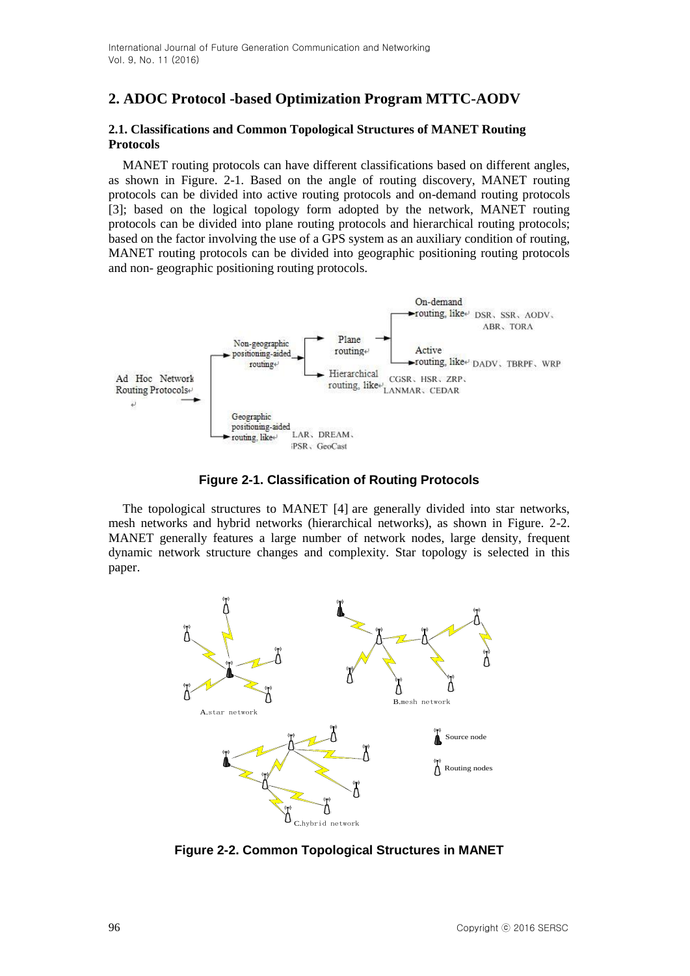## **2. ADOC Protocol -based Optimization Program MTTC-AODV**

#### **2.1. Classifications and Common Topological Structures of MANET Routing Protocols**

MANET routing protocols can have different classifications based on different angles, as shown in Figure. 2-1. Based on the angle of routing discovery, MANET routing protocols can be divided into active routing protocols and on-demand routing protocols [3]; based on the logical topology form adopted by the network, MANET routing protocols can be divided into plane routing protocols and hierarchical routing protocols; based on the factor involving the use of a GPS system as an auxiliary condition of routing, MANET routing protocols can be divided into geographic positioning routing protocols and non- geographic positioning routing protocols.



**Figure 2-1. Classification of Routing Protocols**

The topological structures to MANET [4] are generally divided into star networks, mesh networks and hybrid networks (hierarchical networks), as shown in Figure. 2-2. MANET generally features a large number of network nodes, large density, frequent dynamic network structure changes and complexity. Star topology is selected in this paper.



**Figure 2-2. Common Topological Structures in MANET**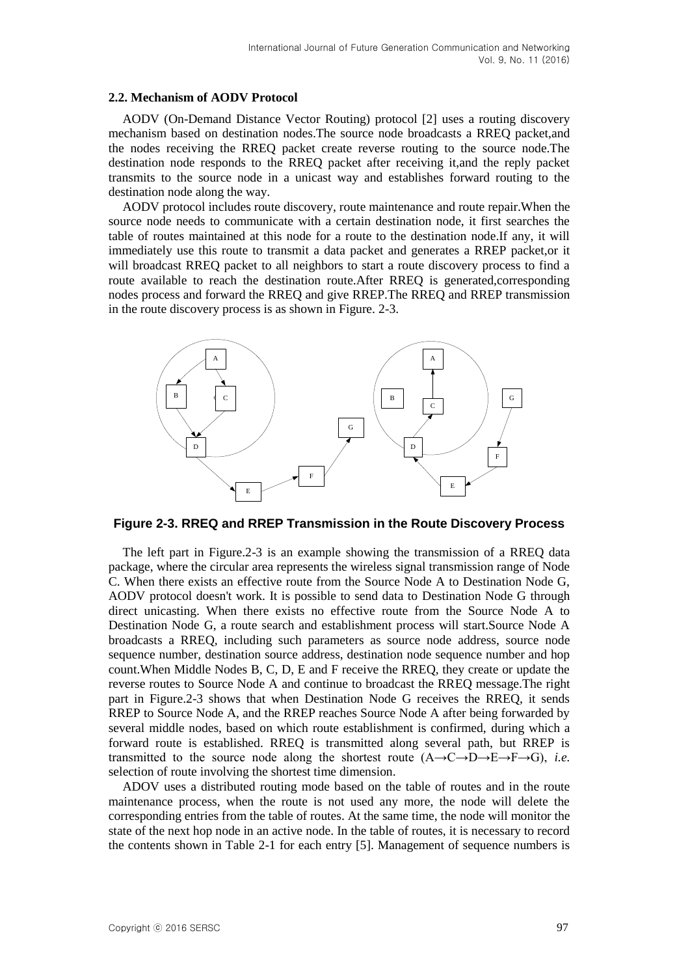#### **2.2. Mechanism of AODV Protocol**

AODV (On-Demand Distance Vector Routing) protocol [2] uses a routing discovery mechanism based on destination nodes.The source node broadcasts a RREQ packet,and the nodes receiving the RREQ packet create reverse routing to the source node.The destination node responds to the RREQ packet after receiving it,and the reply packet transmits to the source node in a unicast way and establishes forward routing to the destination node along the way.

AODV protocol includes route discovery, route maintenance and route repair.When the source node needs to communicate with a certain destination node, it first searches the table of routes maintained at this node for a route to the destination node.If any, it will immediately use this route to transmit a data packet and generates a RREP packet,or it will broadcast RREQ packet to all neighbors to start a route discovery process to find a route available to reach the destination route.After RREQ is generated,corresponding nodes process and forward the RREQ and give RREP.The RREQ and RREP transmission in the route discovery process is as shown in Figure. 2-3.



#### **Figure 2-3. RREQ and RREP Transmission in the Route Discovery Process**

The left part in Figure.2-3 is an example showing the transmission of a RREQ data package, where the circular area represents the wireless signal transmission range of Node C. When there exists an effective route from the Source Node A to Destination Node G, AODV protocol doesn't work. It is possible to send data to Destination Node G through direct unicasting. When there exists no effective route from the Source Node A to Destination Node G, a route search and establishment process will start.Source Node A broadcasts a RREQ, including such parameters as source node address, source node sequence number, destination source address, destination node sequence number and hop count.When Middle Nodes B, C, D, E and F receive the RREQ, they create or update the reverse routes to Source Node A and continue to broadcast the RREQ message.The right part in Figure.2-3 shows that when Destination Node G receives the RREQ, it sends RREP to Source Node A, and the RREP reaches Source Node A after being forwarded by several middle nodes, based on which route establishment is confirmed, during which a forward route is established. RREQ is transmitted along several path, but RREP is transmitted to the source node along the shortest route  $(A \rightarrow C \rightarrow D \rightarrow E \rightarrow F \rightarrow G)$ , *i.e.* selection of route involving the shortest time dimension.

ADOV uses a distributed routing mode based on the table of routes and in the route maintenance process, when the route is not used any more, the node will delete the corresponding entries from the table of routes. At the same time, the node will monitor the state of the next hop node in an active node. In the table of routes, it is necessary to record the contents shown in Table 2-1 for each entry [5]. Management of sequence numbers is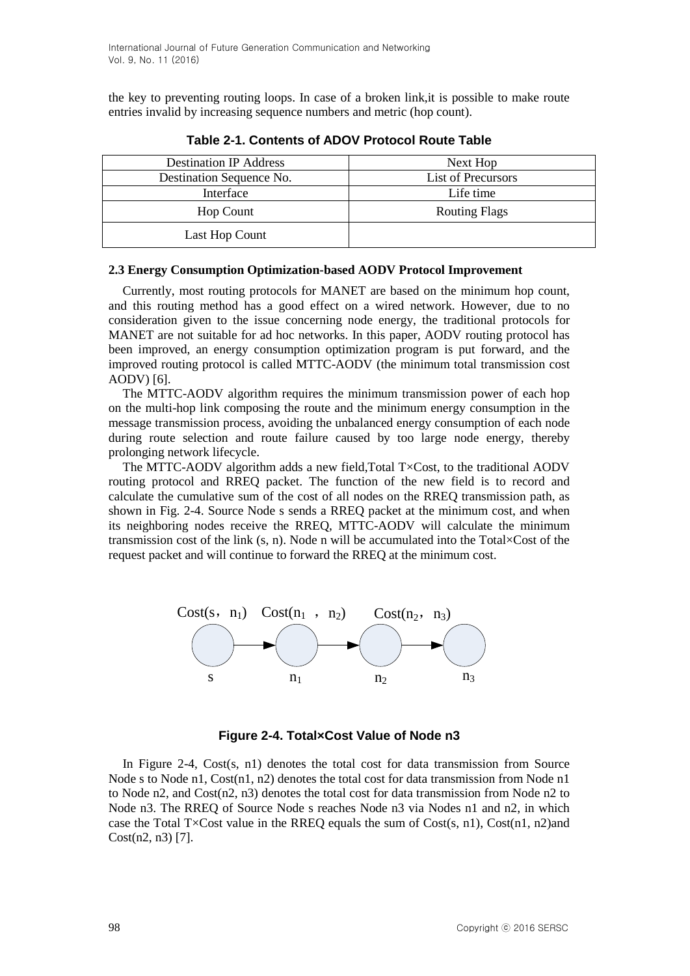the key to preventing routing loops. In case of a broken link,it is possible to make route entries invalid by increasing sequence numbers and metric (hop count).

| <b>Destination IP Address</b> | Next Hop             |  |
|-------------------------------|----------------------|--|
| Destination Sequence No.      | List of Precursors   |  |
| Interface                     | Life time            |  |
| <b>Hop Count</b>              | <b>Routing Flags</b> |  |
| Last Hop Count                |                      |  |

**Table 2-1. Contents of ADOV Protocol Route Table**

#### **2.3 Energy Consumption Optimization-based AODV Protocol Improvement**

Currently, most routing protocols for MANET are based on the minimum hop count, and this routing method has a good effect on a wired network. However, due to no consideration given to the issue concerning node energy, the traditional protocols for MANET are not suitable for ad hoc networks. In this paper, AODV routing protocol has been improved, an energy consumption optimization program is put forward, and the improved routing protocol is called MTTC-AODV (the minimum total transmission cost AODV) [6].

The MTTC-AODV algorithm requires the minimum transmission power of each hop on the multi-hop link composing the route and the minimum energy consumption in the message transmission process, avoiding the unbalanced energy consumption of each node during route selection and route failure caused by too large node energy, thereby prolonging network lifecycle.

The MTTC-AODV algorithm adds a new field,Total T×Cost, to the traditional AODV routing protocol and RREQ packet. The function of the new field is to record and calculate the cumulative sum of the cost of all nodes on the RREQ transmission path, as shown in Fig. 2-4. Source Node s sends a RREQ packet at the minimum cost, and when its neighboring nodes receive the RREQ, MTTC-AODV will calculate the minimum transmission cost of the link (s, n). Node n will be accumulated into the Total×Cost of the request packet and will continue to forward the RREQ at the minimum cost.



**Figure 2-4. Total×Cost Value of Node n3**

In Figure 2-4, Cost(s, n1) denotes the total cost for data transmission from Source Node s to Node n1, Cost(n1, n2) denotes the total cost for data transmission from Node n1 to Node n2, and Cost(n2, n3) denotes the total cost for data transmission from Node n2 to Node n3. The RREQ of Source Node s reaches Node n3 via Nodes n1 and n2, in which case the Total T $\times$ Cost value in the RREQ equals the sum of Cost(s, n1), Cost(n1, n2)and Cost(n2, n3) [7].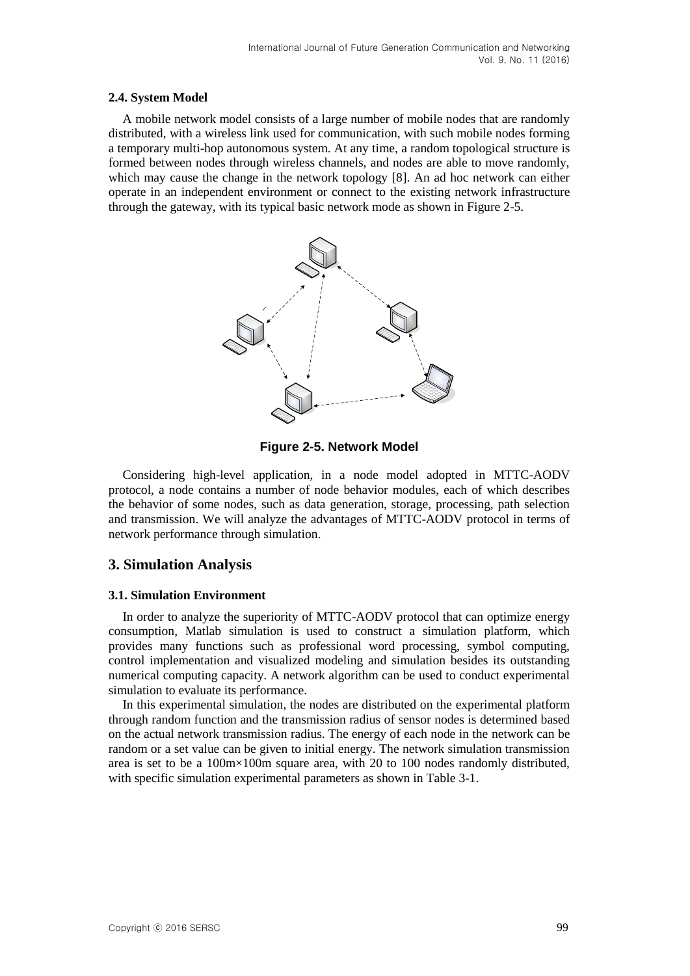#### **2.4. System Model**

A mobile network model consists of a large number of mobile nodes that are randomly distributed, with a wireless link used for communication, with such mobile nodes forming a temporary multi-hop autonomous system. At any time, a random topological structure is formed between nodes through wireless channels, and nodes are able to move randomly, which may cause the change in the network topology [8]. An ad hoc network can either operate in an independent environment or connect to the existing network infrastructure through the gateway, with its typical basic network mode as shown in Figure 2-5.



**Figure 2-5. Network Model**

Considering high-level application, in a node model adopted in MTTC-AODV protocol, a node contains a number of node behavior modules, each of which describes the behavior of some nodes, such as data generation, storage, processing, path selection and transmission. We will analyze the advantages of MTTC-AODV protocol in terms of network performance through simulation.

### **3. Simulation Analysis**

#### **3.1. Simulation Environment**

In order to analyze the superiority of MTTC-AODV protocol that can optimize energy consumption, Matlab simulation is used to construct a simulation platform, which provides many functions such as professional word processing, symbol computing, control implementation and visualized modeling and simulation besides its outstanding numerical computing capacity. A network algorithm can be used to conduct experimental simulation to evaluate its performance.

In this experimental simulation, the nodes are distributed on the experimental platform through random function and the transmission radius of sensor nodes is determined based on the actual network transmission radius. The energy of each node in the network can be random or a set value can be given to initial energy. The network simulation transmission area is set to be a 100m×100m square area, with 20 to 100 nodes randomly distributed, with specific simulation experimental parameters as shown in Table 3-1.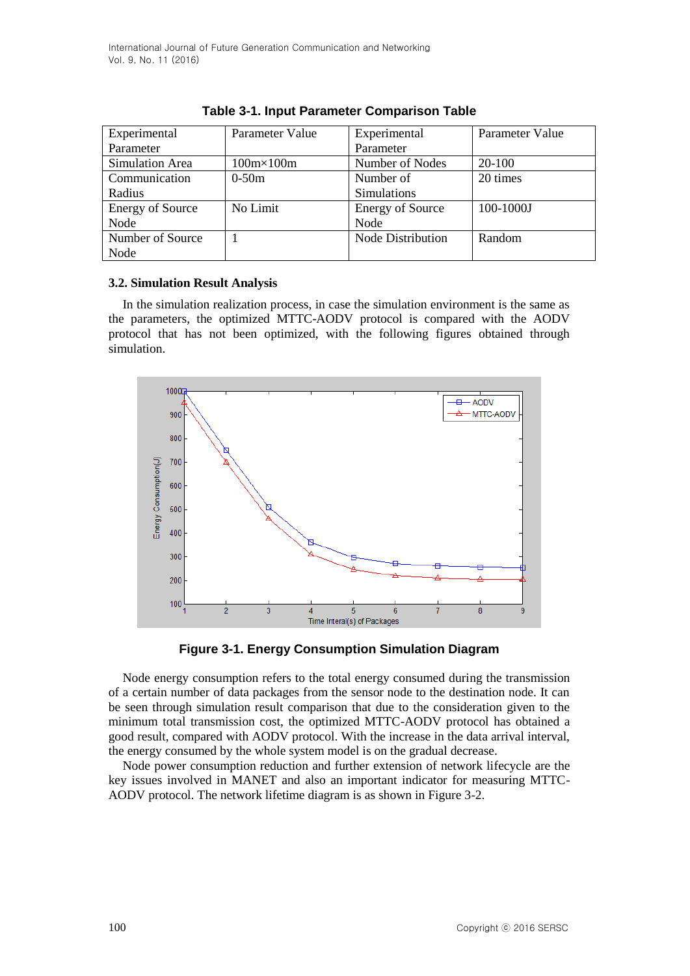| Experimental            | Parameter Value    | Experimental             | Parameter Value |
|-------------------------|--------------------|--------------------------|-----------------|
| Parameter               |                    | Parameter                |                 |
| Simulation Area         | $100m \times 100m$ | Number of Nodes          | 20-100          |
| Communication           | $0-50m$            | Number of                | 20 times        |
| Radius                  |                    | <b>Simulations</b>       |                 |
| <b>Energy of Source</b> | No Limit           | <b>Energy of Source</b>  | 100-1000J       |
| Node                    |                    | Node                     |                 |
| Number of Source        |                    | <b>Node Distribution</b> | Random          |
| Node                    |                    |                          |                 |

|  | Table 3-1. Input Parameter Comparison Table |
|--|---------------------------------------------|
|--|---------------------------------------------|

#### **3.2. Simulation Result Analysis**

In the simulation realization process, in case the simulation environment is the same as the parameters, the optimized MTTC-AODV protocol is compared with the AODV protocol that has not been optimized, with the following figures obtained through simulation.



**Figure 3-1. Energy Consumption Simulation Diagram** 

Node energy consumption refers to the total energy consumed during the transmission of a certain number of data packages from the sensor node to the destination node. It can be seen through simulation result comparison that due to the consideration given to the minimum total transmission cost, the optimized MTTC-AODV protocol has obtained a good result, compared with AODV protocol. With the increase in the data arrival interval, the energy consumed by the whole system model is on the gradual decrease.

Node power consumption reduction and further extension of network lifecycle are the key issues involved in MANET and also an important indicator for measuring MTTC-AODV protocol. The network lifetime diagram is as shown in Figure 3-2.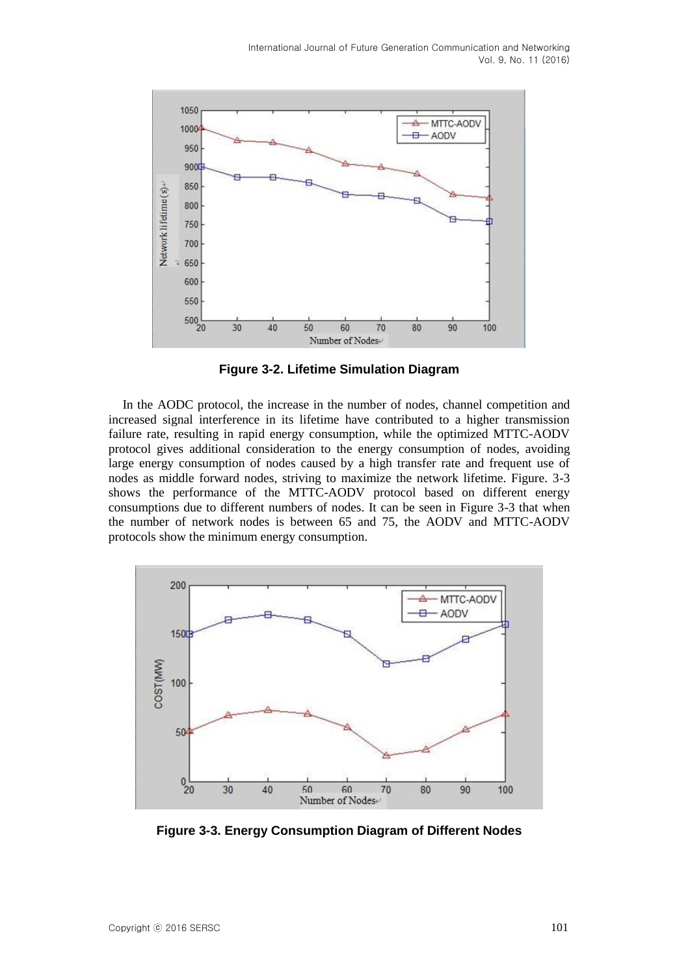

**Figure 3-2. Lifetime Simulation Diagram**

In the AODC protocol, the increase in the number of nodes, channel competition and increased signal interference in its lifetime have contributed to a higher transmission failure rate, resulting in rapid energy consumption, while the optimized MTTC-AODV protocol gives additional consideration to the energy consumption of nodes, avoiding large energy consumption of nodes caused by a high transfer rate and frequent use of nodes as middle forward nodes, striving to maximize the network lifetime. Figure. 3-3 shows the performance of the MTTC-AODV protocol based on different energy consumptions due to different numbers of nodes. It can be seen in Figure 3-3 that when the number of network nodes is between 65 and 75, the AODV and MTTC-AODV protocols show the minimum energy consumption.



**Figure 3-3. Energy Consumption Diagram of Different Nodes**